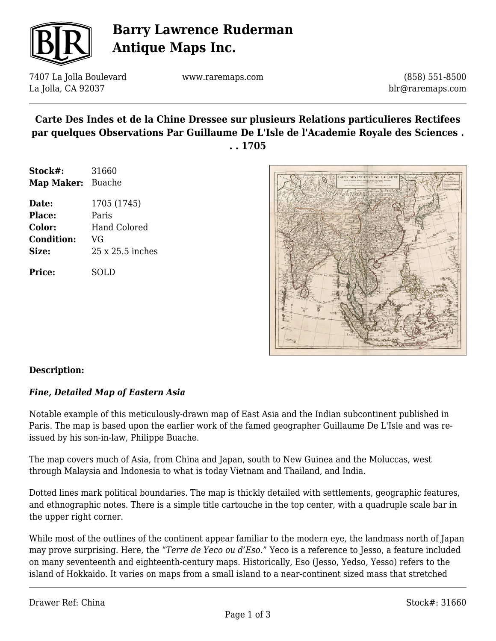

# **Barry Lawrence Ruderman Antique Maps Inc.**

7407 La Jolla Boulevard La Jolla, CA 92037

www.raremaps.com

(858) 551-8500 blr@raremaps.com

## **Carte Des Indes et de la Chine Dressee sur plusieurs Relations particulieres Rectifees par quelques Observations Par Guillaume De L'Isle de l'Academie Royale des Sciences . . . 1705**

| Stock#:           | 31660            |
|-------------------|------------------|
| Map Maker:        | <b>Buache</b>    |
| Date:             | 1705 (1745)      |
| Place:            | Paris            |
| <b>Color:</b>     | Hand Colored     |
| <b>Condition:</b> | VG               |
| Size:             | 25 x 25.5 inches |
|                   |                  |

**Price:** SOLD



### **Description:**

### *Fine, Detailed Map of Eastern Asia*

Notable example of this meticulously-drawn map of East Asia and the Indian subcontinent published in Paris. The map is based upon the earlier work of the famed geographer Guillaume De L'Isle and was reissued by his son-in-law, Philippe Buache.

The map covers much of Asia, from China and Japan, south to New Guinea and the Moluccas, west through Malaysia and Indonesia to what is today Vietnam and Thailand, and India.

Dotted lines mark political boundaries. The map is thickly detailed with settlements, geographic features, and ethnographic notes. There is a simple title cartouche in the top center, with a quadruple scale bar in the upper right corner.

While most of the outlines of the continent appear familiar to the modern eye, the landmass north of Japan may prove surprising. Here, the "*Terre de Yeco ou d'Eso*." Yeco is a reference to Jesso, a feature included on many seventeenth and eighteenth-century maps. Historically, Eso (Jesso, Yedso, Yesso) refers to the island of Hokkaido. It varies on maps from a small island to a near-continent sized mass that stretched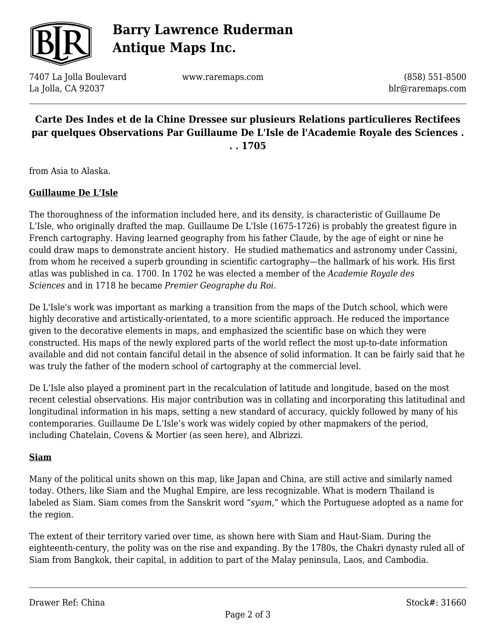

# **Barry Lawrence Ruderman Antique Maps Inc.**

7407 La Jolla Boulevard La Jolla, CA 92037

www.raremaps.com

(858) 551-8500 blr@raremaps.com

# **Carte Des Indes et de la Chine Dressee sur plusieurs Relations particulieres Rectifees par quelques Observations Par Guillaume De L'Isle de l'Academie Royale des Sciences . . . 1705**

from Asia to Alaska.

#### **Guillaume De L'Isle**

The thoroughness of the information included here, and its density, is characteristic of Guillaume De L'Isle, who originally drafted the map. Guillaume De L'Isle (1675-1726) is probably the greatest figure in French cartography. Having learned geography from his father Claude, by the age of eight or nine he could draw maps to demonstrate ancient history. He studied mathematics and astronomy under Cassini, from whom he received a superb grounding in scientific cartography—the hallmark of his work. His first atlas was published in ca. 1700. In 1702 he was elected a member of the *Academie Royale des Sciences* and in 1718 he became *Premier Geographe du Roi*.

De L'Isle's work was important as marking a transition from the maps of the Dutch school, which were highly decorative and artistically-orientated, to a more scientific approach. He reduced the importance given to the decorative elements in maps, and emphasized the scientific base on which they were constructed. His maps of the newly explored parts of the world reflect the most up-to-date information available and did not contain fanciful detail in the absence of solid information. It can be fairly said that he was truly the father of the modern school of cartography at the commercial level.

De L'Isle also played a prominent part in the recalculation of latitude and longitude, based on the most recent celestial observations. His major contribution was in collating and incorporating this latitudinal and longitudinal information in his maps, setting a new standard of accuracy, quickly followed by many of his contemporaries. Guillaume De L'Isle's work was widely copied by other mapmakers of the period, including Chatelain, Covens & Mortier (as seen here), and Albrizzi.

#### **Siam**

Many of the political units shown on this map, like Japan and China, are still active and similarly named today. Others, like Siam and the Mughal Empire, are less recognizable. What is modern Thailand is labeled as Siam. Siam comes from the Sanskrit word "*syam*," which the Portuguese adopted as a name for the region.

The extent of their territory varied over time, as shown here with Siam and Haut-Siam. During the eighteenth-century, the polity was on the rise and expanding. By the 1780s, the Chakri dynasty ruled all of Siam from Bangkok, their capital, in addition to part of the Malay peninsula, Laos, and Cambodia.